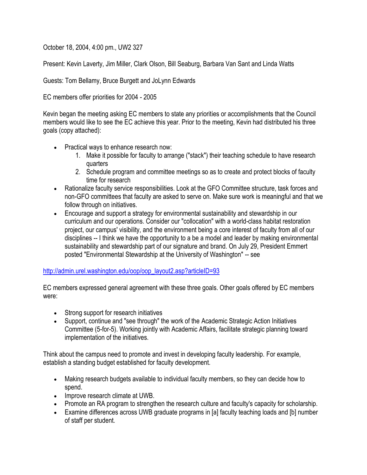October 18, 2004, 4:00 pm., UW2 327

Present: Kevin Laverty, Jim Miller, Clark Olson, Bill Seaburg, Barbara Van Sant and Linda Watts

Guests: Tom Bellamy, Bruce Burgett and JoLynn Edwards

EC members offer priorities for 2004 - 2005

Kevin began the meeting asking EC members to state any priorities or accomplishments that the Council members would like to see the EC achieve this year. Prior to the meeting, Kevin had distributed his three goals (copy attached):

- Practical ways to enhance research now:
	- 1. Make it possible for faculty to arrange ("stack") their teaching schedule to have research quarters
	- 2. Schedule program and committee meetings so as to create and protect blocks of faculty time for research
- Rationalize faculty service responsibilities. Look at the GFO Committee structure, task forces and non-GFO committees that faculty are asked to serve on. Make sure work is meaningful and that we follow through on initiatives.
- Encourage and support a strategy for environmental sustainability and stewardship in our curriculum and our operations. Consider our "collocation" with a world-class habitat restoration project, our campus' visibility, and the environment being a core interest of faculty from all of our disciplines -- I think we have the opportunity to a be a model and leader by making environmental sustainability and stewardship part of our signature and brand. On July 29, President Emmert posted "Environmental Stewardship at the University of Washington" -- see

## [http://admin.urel.washington.edu/oop/oop\\_layout2.asp?articleID=93](http://admin.urel.washington.edu/oop/oop_layout2.asp?articleID=93)

EC members expressed general agreement with these three goals. Other goals offered by EC members were:

- Strong support for research initiatives
- Support, continue and "see through" the work of the Academic Strategic Action Initiatives Committee (5-for-5). Working jointly with Academic Affairs, facilitate strategic planning toward implementation of the initiatives.

Think about the campus need to promote and invest in developing faculty leadership. For example, establish a standing budget established for faculty development.

- Making research budgets available to individual faculty members, so they can decide how to spend.
- Improve research climate at UWB.
- Promote an RA program to strengthen the research culture and faculty's capacity for scholarship.
- Examine differences across UWB graduate programs in [a] faculty teaching loads and [b] number of staff per student.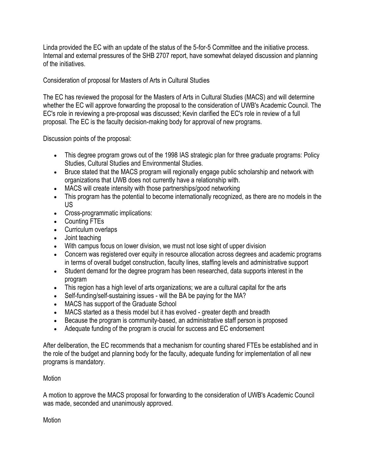Linda provided the EC with an update of the status of the 5-for-5 Committee and the initiative process. Internal and external pressures of the SHB 2707 report, have somewhat delayed discussion and planning of the initiatives.

Consideration of proposal for Masters of Arts in Cultural Studies

The EC has reviewed the proposal for the Masters of Arts in Cultural Studies (MACS) and will determine whether the EC will approve forwarding the proposal to the consideration of UWB's Academic Council. The EC's role in reviewing a pre-proposal was discussed; Kevin clarified the EC's role in review of a full proposal. The EC is the faculty decision-making body for approval of new programs.

Discussion points of the proposal:

- This degree program grows out of the 1998 IAS strategic plan for three graduate programs: Policy Studies, Cultural Studies and Environmental Studies.
- Bruce stated that the MACS program will regionally engage public scholarship and network with organizations that UWB does not currently have a relationship with.
- MACS will create intensity with those partnerships/good networking
- This program has the potential to become internationally recognized, as there are no models in the US
- Cross-programmatic implications:
- Counting FTEs
- Curriculum overlaps
- Joint teaching
- With campus focus on lower division, we must not lose sight of upper division
- Concern was registered over equity in resource allocation across degrees and academic programs in terms of overall budget construction, faculty lines, staffing levels and administrative support
- Student demand for the degree program has been researched, data supports interest in the program
- This region has a high level of arts organizations; we are a cultural capital for the arts
- Self-funding/self-sustaining issues will the BA be paying for the MA?
- MACS has support of the Graduate School
- MACS started as a thesis model but it has evolved greater depth and breadth
- Because the program is community-based, an administrative staff person is proposed
- Adequate funding of the program is crucial for success and EC endorsement

After deliberation, the EC recommends that a mechanism for counting shared FTEs be established and in the role of the budget and planning body for the faculty, adequate funding for implementation of all new programs is mandatory.

## **Motion**

A motion to approve the MACS proposal for forwarding to the consideration of UWB's Academic Council was made, seconded and unanimously approved.

**Motion**